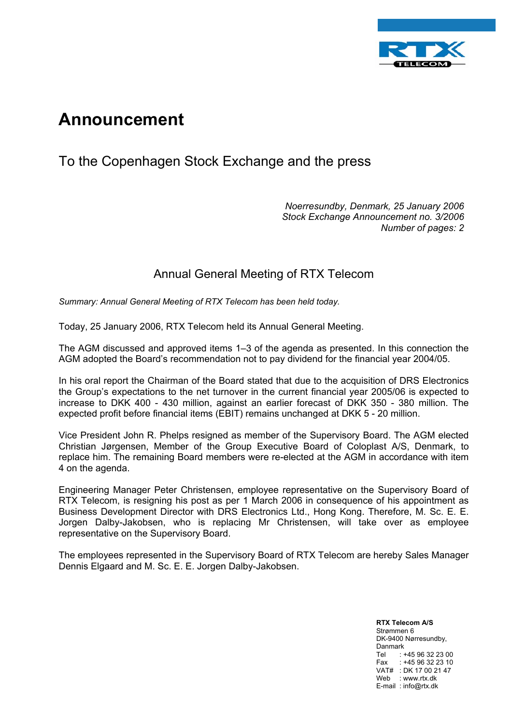

## **Announcement**

## To the Copenhagen Stock Exchange and the press

*Noerresundby, Denmark, 25 January 2006 Stock Exchange Announcement no. 3/2006 Number of pages: 2* 

## Annual General Meeting of RTX Telecom

*Summary: Annual General Meeting of RTX Telecom has been held today.* 

Today, 25 January 2006, RTX Telecom held its Annual General Meeting.

The AGM discussed and approved items 1–3 of the agenda as presented. In this connection the AGM adopted the Board's recommendation not to pay dividend for the financial year 2004/05.

In his oral report the Chairman of the Board stated that due to the acquisition of DRS Electronics the Group's expectations to the net turnover in the current financial year 2005/06 is expected to increase to DKK 400 - 430 million, against an earlier forecast of DKK 350 - 380 million. The expected profit before financial items (EBIT) remains unchanged at DKK 5 - 20 million.

Vice President John R. Phelps resigned as member of the Supervisory Board. The AGM elected Christian Jørgensen, Member of the Group Executive Board of Coloplast A/S, Denmark, to replace him. The remaining Board members were re-elected at the AGM in accordance with item 4 on the agenda.

Engineering Manager Peter Christensen, employee representative on the Supervisory Board of RTX Telecom, is resigning his post as per 1 March 2006 in consequence of his appointment as Business Development Director with DRS Electronics Ltd., Hong Kong. Therefore, M. Sc. E. E. Jorgen Dalby-Jakobsen, who is replacing Mr Christensen, will take over as employee representative on the Supervisory Board.

The employees represented in the Supervisory Board of RTX Telecom are hereby Sales Manager Dennis Elgaard and M. Sc. E. E. Jorgen Dalby-Jakobsen.

> **RTX Telecom A/S** Strømmen 6 DK-9400 Nørresundby, Danmark Tel : +45 96 32 23 00 Fax : +45 96 32 23 10 VAT# : DK 17 00 21 47 Web : www.rtx.dk E-mail : info@rtx.dk